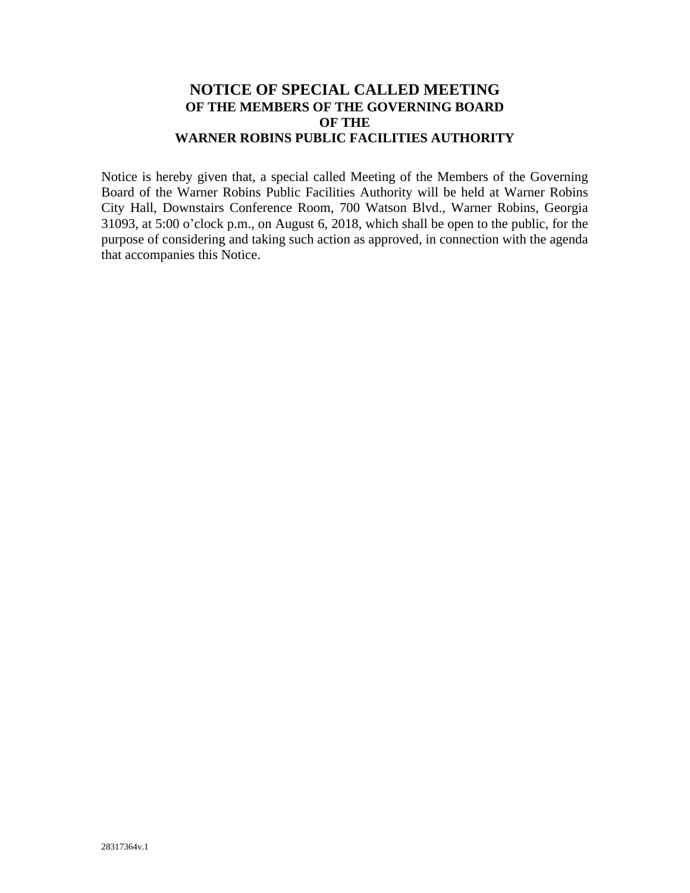# **NOTICE OF SPECIAL CALLED MEETING OF THE MEMBERS OF THE GOVERNING BOARD OF THE WARNER ROBINS PUBLIC FACILITIES AUTHORITY**

Notice is hereby given that, a special called Meeting of the Members of the Governing Board of the Warner Robins Public Facilities Authority will be held at Warner Robins City Hall, Downstairs Conference Room, 700 Watson Blvd., Warner Robins, Georgia 31093, at 5:00 o'clock p.m., on August 6, 2018, which shall be open to the public, for the purpose of considering and taking such action as approved, in connection with the agenda that accompanies this Notice.